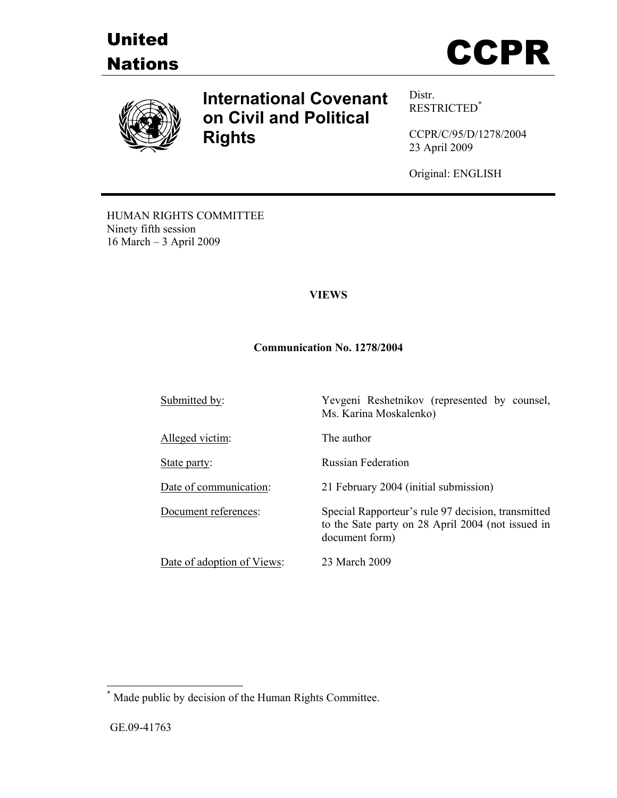





# **International Covenant on Civil and Political Rights**

Distr. RESTRICTED\*

CCPR/C/95/D/1278/2004 23 April 2009

Original: ENGLISH

HUMAN RIGHTS COMMITTEE Ninety fifth session 16 March – 3 April 2009

# **VIEWS**

#### **Communication No. 1278/2004**

Submitted by:<br>
Yevgeni Reshetnikov (represented by counsel, Ms. Karina Moskalenko) Alleged victim: The author State party: Russian Federation Date of communication: 21 February 2004 (initial submission) Document references: Special Rapporteur's rule 97 decision, transmitted to the Sate party on 28 April 2004 (not issued in document form) Date of adoption of Views: 23 March 2009

 \* Made public by decision of the Human Rights Committee.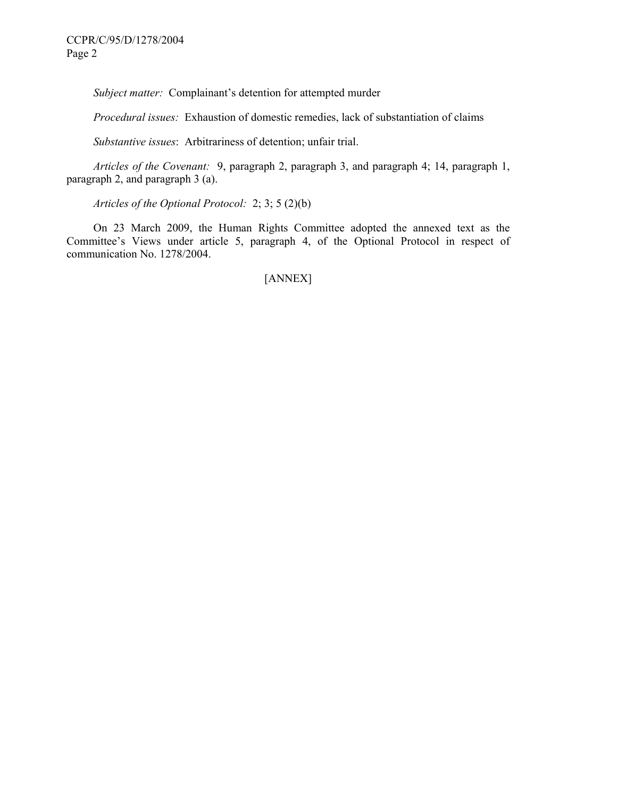*Subject matter:* Complainant's detention for attempted murder

 *Procedural issues:* Exhaustion of domestic remedies, lack of substantiation of claims

 *Substantive issues*: Arbitrariness of detention; unfair trial.

 *Articles of the Covenant:* 9, paragraph 2, paragraph 3, and paragraph 4; 14, paragraph 1, paragraph 2, and paragraph 3 (a).

 *Articles of the Optional Protocol:* 2; 3; 5 (2)(b)

 On 23 March 2009, the Human Rights Committee adopted the annexed text as the Committee's Views under article 5, paragraph 4, of the Optional Protocol in respect of communication No. 1278/2004.

[ANNEX]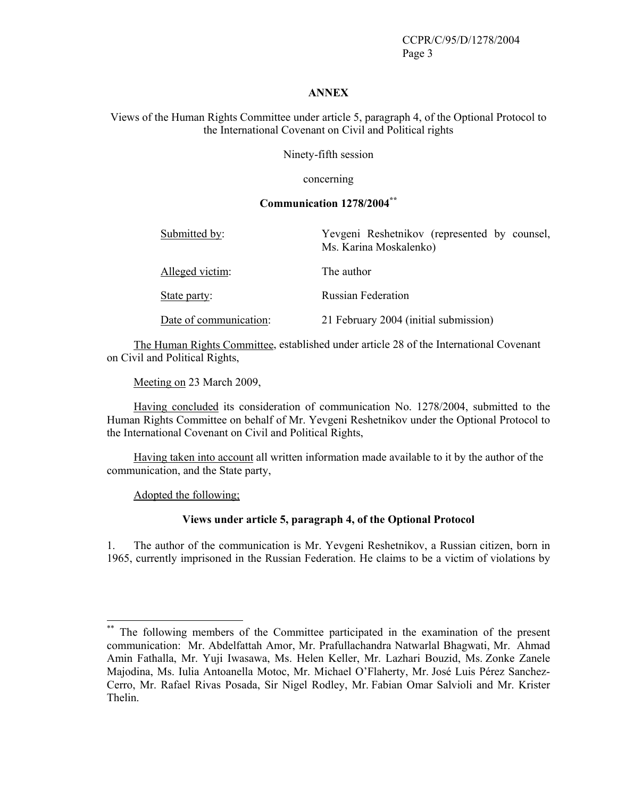CCPR/C/95/D/1278/2004 Page 3

#### **ANNEX**

Views of the Human Rights Committee under article 5, paragraph 4, of the Optional Protocol to the International Covenant on Civil and Political rights

Ninety-fifth session

concerning

# **Communication 1278/2004\*\***

| Submitted by:          | Yevgeni Reshetnikov (represented by counsel,<br>Ms. Karina Moskalenko) |
|------------------------|------------------------------------------------------------------------|
| Alleged victim:        | The author                                                             |
| State party:           | <b>Russian Federation</b>                                              |
| Date of communication: | 21 February 2004 (initial submission)                                  |

 The Human Rights Committee, established under article 28 of the International Covenant on Civil and Political Rights,

Meeting on 23 March 2009,

 Having concluded its consideration of communication No. 1278/2004, submitted to the Human Rights Committee on behalf of Mr. Yevgeni Reshetnikov under the Optional Protocol to the International Covenant on Civil and Political Rights,

 Having taken into account all written information made available to it by the author of the communication, and the State party,

Adopted the following;

 $\overline{a}$ 

#### **Views under article 5, paragraph 4, of the Optional Protocol**

1. The author of the communication is Mr. Yevgeni Reshetnikov, a Russian citizen, born in 1965, currently imprisoned in the Russian Federation. He claims to be a victim of violations by

<sup>\*\*</sup> The following members of the Committee participated in the examination of the present communication: Mr. Abdelfattah Amor, Mr. Prafullachandra Natwarlal Bhagwati, Mr. Ahmad Amin Fathalla, Mr. Yuji Iwasawa, Ms. Helen Keller, Mr. Lazhari Bouzid, Ms. Zonke Zanele Majodina, Ms. Iulia Antoanella Motoc, Mr. Michael O'Flaherty, Mr. José Luis Pérez Sanchez-Cerro, Mr. Rafael Rivas Posada, Sir Nigel Rodley, Mr. Fabian Omar Salvioli and Mr. Krister Thelin.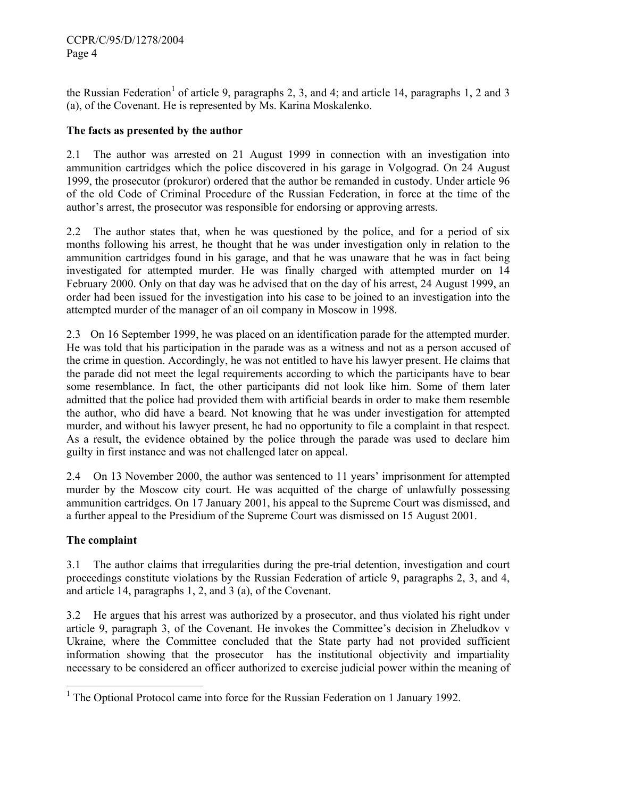the Russian Federation<sup>1</sup> of article 9, paragraphs 2, 3, and 4; and article 14, paragraphs 1, 2 and 3 (a), of the Covenant. He is represented by Ms. Karina Moskalenko.

# **The facts as presented by the author**

2.1 The author was arrested on 21 August 1999 in connection with an investigation into ammunition cartridges which the police discovered in his garage in Volgograd. On 24 August 1999, the prosecutor (prokuror) ordered that the author be remanded in custody. Under article 96 of the old Code of Criminal Procedure of the Russian Federation, in force at the time of the author's arrest, the prosecutor was responsible for endorsing or approving arrests.

2.2 The author states that, when he was questioned by the police, and for a period of six months following his arrest, he thought that he was under investigation only in relation to the ammunition cartridges found in his garage, and that he was unaware that he was in fact being investigated for attempted murder. He was finally charged with attempted murder on 14 February 2000. Only on that day was he advised that on the day of his arrest, 24 August 1999, an order had been issued for the investigation into his case to be joined to an investigation into the attempted murder of the manager of an oil company in Moscow in 1998.

2.3 On 16 September 1999, he was placed on an identification parade for the attempted murder. He was told that his participation in the parade was as a witness and not as a person accused of the crime in question. Accordingly, he was not entitled to have his lawyer present. He claims that the parade did not meet the legal requirements according to which the participants have to bear some resemblance. In fact, the other participants did not look like him. Some of them later admitted that the police had provided them with artificial beards in order to make them resemble the author, who did have a beard. Not knowing that he was under investigation for attempted murder, and without his lawyer present, he had no opportunity to file a complaint in that respect. As a result, the evidence obtained by the police through the parade was used to declare him guilty in first instance and was not challenged later on appeal.

2.4 On 13 November 2000, the author was sentenced to 11 years' imprisonment for attempted murder by the Moscow city court. He was acquitted of the charge of unlawfully possessing ammunition cartridges. On 17 January 2001, his appeal to the Supreme Court was dismissed, and a further appeal to the Presidium of the Supreme Court was dismissed on 15 August 2001.

# **The complaint**

3.1 The author claims that irregularities during the pre-trial detention, investigation and court proceedings constitute violations by the Russian Federation of article 9, paragraphs 2, 3, and 4, and article 14, paragraphs 1, 2, and 3 (a), of the Covenant.

3.2 He argues that his arrest was authorized by a prosecutor, and thus violated his right under article 9, paragraph 3, of the Covenant. He invokes the Committee's decision in Zheludkov v Ukraine, where the Committee concluded that the State party had not provided sufficient information showing that the prosecutor has the institutional objectivity and impartiality necessary to be considered an officer authorized to exercise judicial power within the meaning of

<sup>-</sup><sup>1</sup> The Optional Protocol came into force for the Russian Federation on 1 January 1992.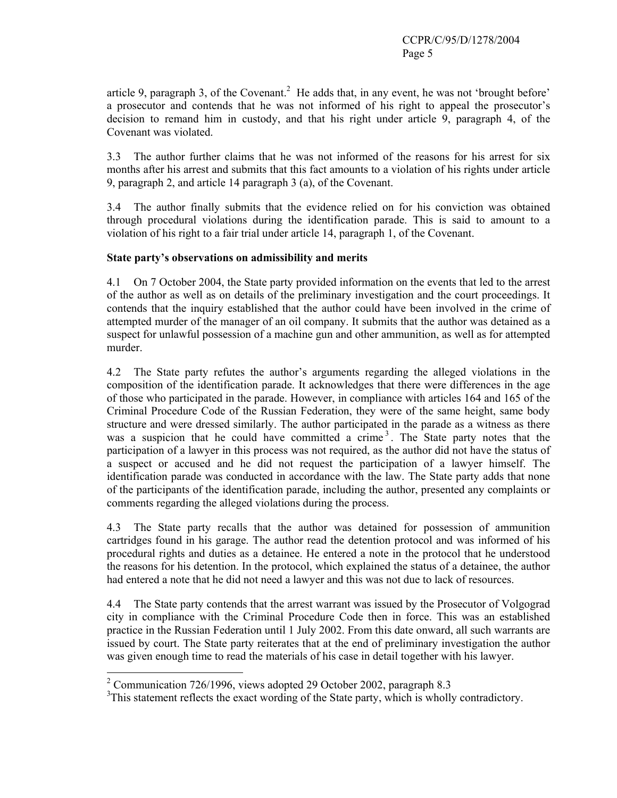article 9, paragraph 3, of the Covenant.<sup>2</sup> He adds that, in any event, he was not 'brought before' a prosecutor and contends that he was not informed of his right to appeal the prosecutor's decision to remand him in custody, and that his right under article 9, paragraph 4, of the Covenant was violated.

3.3 The author further claims that he was not informed of the reasons for his arrest for six months after his arrest and submits that this fact amounts to a violation of his rights under article 9, paragraph 2, and article 14 paragraph 3 (a), of the Covenant.

3.4 The author finally submits that the evidence relied on for his conviction was obtained through procedural violations during the identification parade. This is said to amount to a violation of his right to a fair trial under article 14, paragraph 1, of the Covenant.

#### **State party's observations on admissibility and merits**

4.1 On 7 October 2004, the State party provided information on the events that led to the arrest of the author as well as on details of the preliminary investigation and the court proceedings. It contends that the inquiry established that the author could have been involved in the crime of attempted murder of the manager of an oil company. It submits that the author was detained as a suspect for unlawful possession of a machine gun and other ammunition, as well as for attempted murder.

4.2 The State party refutes the author's arguments regarding the alleged violations in the composition of the identification parade. It acknowledges that there were differences in the age of those who participated in the parade. However, in compliance with articles 164 and 165 of the Criminal Procedure Code of the Russian Federation, they were of the same height, same body structure and were dressed similarly. The author participated in the parade as a witness as there was a suspicion that he could have committed a crime<sup>3</sup>. The State party notes that the participation of a lawyer in this process was not required, as the author did not have the status of a suspect or accused and he did not request the participation of a lawyer himself. The identification parade was conducted in accordance with the law. The State party adds that none of the participants of the identification parade, including the author, presented any complaints or comments regarding the alleged violations during the process.

4.3 The State party recalls that the author was detained for possession of ammunition cartridges found in his garage. The author read the detention protocol and was informed of his procedural rights and duties as a detainee. He entered a note in the protocol that he understood the reasons for his detention. In the protocol, which explained the status of a detainee, the author had entered a note that he did not need a lawyer and this was not due to lack of resources.

4.4 The State party contends that the arrest warrant was issued by the Prosecutor of Volgograd city in compliance with the Criminal Procedure Code then in force. This was an established practice in the Russian Federation until 1 July 2002. From this date onward, all such warrants are issued by court. The State party reiterates that at the end of preliminary investigation the author was given enough time to read the materials of his case in detail together with his lawyer.

<sup>&</sup>lt;sup>2</sup> Communication 726/1996, views adopted 29 October 2002, paragraph 8.3

<sup>&</sup>lt;sup>3</sup>This statement reflects the exact wording of the State party, which is wholly contradictory.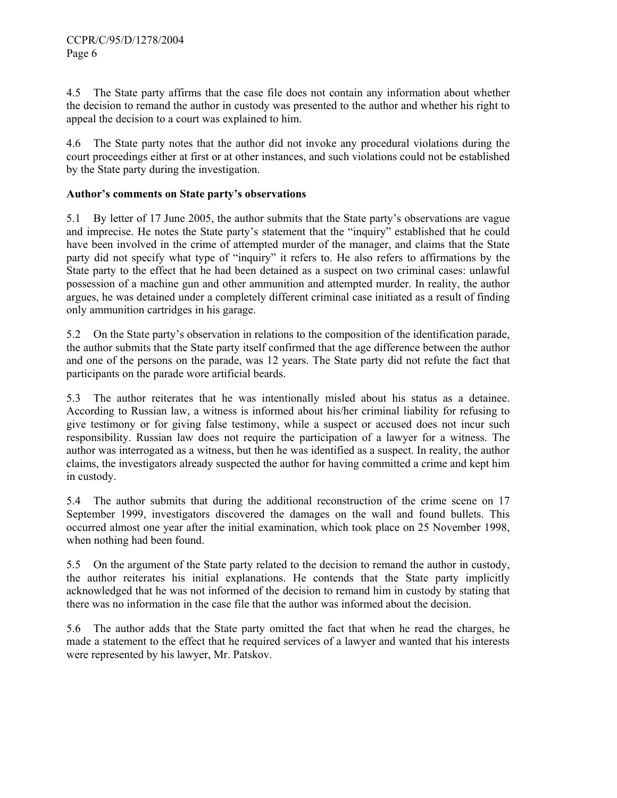4.5 The State party affirms that the case file does not contain any information about whether the decision to remand the author in custody was presented to the author and whether his right to appeal the decision to a court was explained to him.

4.6 The State party notes that the author did not invoke any procedural violations during the court proceedings either at first or at other instances, and such violations could not be established by the State party during the investigation.

# **Author's comments on State party's observations**

5.1 By letter of 17 June 2005, the author submits that the State party's observations are vague and imprecise. He notes the State party's statement that the "inquiry" established that he could have been involved in the crime of attempted murder of the manager, and claims that the State party did not specify what type of "inquiry" it refers to. He also refers to affirmations by the State party to the effect that he had been detained as a suspect on two criminal cases: unlawful possession of a machine gun and other ammunition and attempted murder. In reality, the author argues, he was detained under a completely different criminal case initiated as a result of finding only ammunition cartridges in his garage.

5.2 On the State party's observation in relations to the composition of the identification parade, the author submits that the State party itself confirmed that the age difference between the author and one of the persons on the parade, was 12 years. The State party did not refute the fact that participants on the parade wore artificial beards.

5.3 The author reiterates that he was intentionally misled about his status as a detainee. According to Russian law, a witness is informed about his/her criminal liability for refusing to give testimony or for giving false testimony, while a suspect or accused does not incur such responsibility. Russian law does not require the participation of a lawyer for a witness. The author was interrogated as a witness, but then he was identified as a suspect. In reality, the author claims, the investigators already suspected the author for having committed a crime and kept him in custody.

5.4 The author submits that during the additional reconstruction of the crime scene on 17 September 1999, investigators discovered the damages on the wall and found bullets. This occurred almost one year after the initial examination, which took place on 25 November 1998, when nothing had been found.

5.5 On the argument of the State party related to the decision to remand the author in custody, the author reiterates his initial explanations. He contends that the State party implicitly acknowledged that he was not informed of the decision to remand him in custody by stating that there was no information in the case file that the author was informed about the decision.

5.6 The author adds that the State party omitted the fact that when he read the charges, he made a statement to the effect that he required services of a lawyer and wanted that his interests were represented by his lawyer, Mr. Patskov.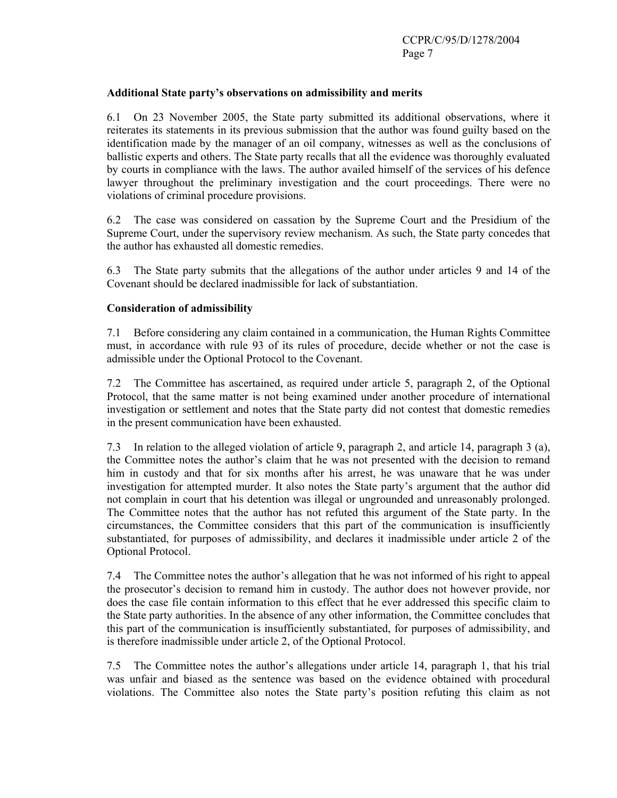#### **Additional State party's observations on admissibility and merits**

6.1 On 23 November 2005, the State party submitted its additional observations, where it reiterates its statements in its previous submission that the author was found guilty based on the identification made by the manager of an oil company, witnesses as well as the conclusions of ballistic experts and others. The State party recalls that all the evidence was thoroughly evaluated by courts in compliance with the laws. The author availed himself of the services of his defence lawyer throughout the preliminary investigation and the court proceedings. There were no violations of criminal procedure provisions.

6.2 The case was considered on cassation by the Supreme Court and the Presidium of the Supreme Court, under the supervisory review mechanism. As such, the State party concedes that the author has exhausted all domestic remedies.

6.3 The State party submits that the allegations of the author under articles 9 and 14 of the Covenant should be declared inadmissible for lack of substantiation.

# **Consideration of admissibility**

7.1 Before considering any claim contained in a communication, the Human Rights Committee must, in accordance with rule 93 of its rules of procedure, decide whether or not the case is admissible under the Optional Protocol to the Covenant.

7.2 The Committee has ascertained, as required under article 5, paragraph 2, of the Optional Protocol, that the same matter is not being examined under another procedure of international investigation or settlement and notes that the State party did not contest that domestic remedies in the present communication have been exhausted.

7.3 In relation to the alleged violation of article 9, paragraph 2, and article 14, paragraph 3 (a), the Committee notes the author's claim that he was not presented with the decision to remand him in custody and that for six months after his arrest, he was unaware that he was under investigation for attempted murder. It also notes the State party's argument that the author did not complain in court that his detention was illegal or ungrounded and unreasonably prolonged. The Committee notes that the author has not refuted this argument of the State party. In the circumstances, the Committee considers that this part of the communication is insufficiently substantiated, for purposes of admissibility, and declares it inadmissible under article 2 of the Optional Protocol.

7.4 The Committee notes the author's allegation that he was not informed of his right to appeal the prosecutor's decision to remand him in custody. The author does not however provide, nor does the case file contain information to this effect that he ever addressed this specific claim to the State party authorities. In the absence of any other information, the Committee concludes that this part of the communication is insufficiently substantiated, for purposes of admissibility, and is therefore inadmissible under article 2, of the Optional Protocol.

7.5 The Committee notes the author's allegations under article 14, paragraph 1, that his trial was unfair and biased as the sentence was based on the evidence obtained with procedural violations. The Committee also notes the State party's position refuting this claim as not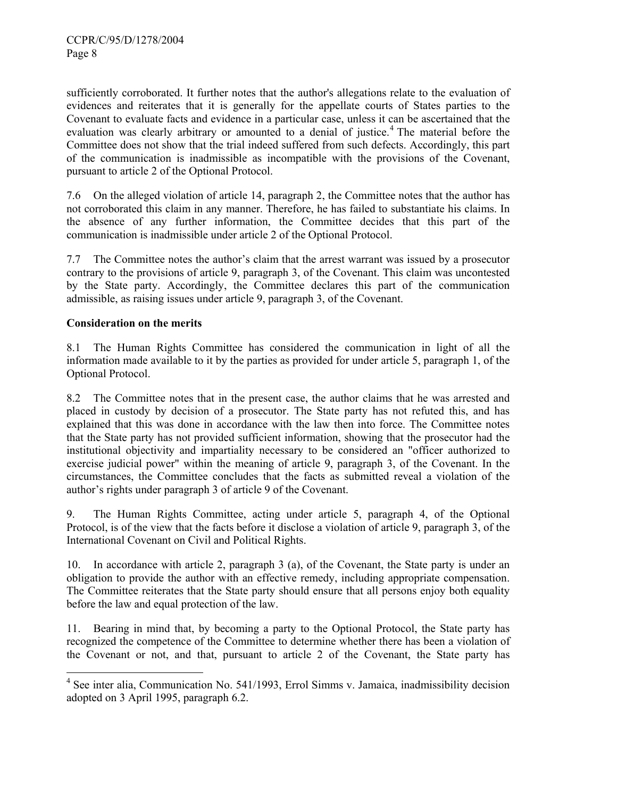sufficiently corroborated. It further notes that the author's allegations relate to the evaluation of evidences and reiterates that it is generally for the appellate courts of States parties to the Covenant to evaluate facts and evidence in a particular case, unless it can be ascertained that the evaluation was clearly arbitrary or amounted to a denial of justice.<sup>4</sup> The material before the Committee does not show that the trial indeed suffered from such defects. Accordingly, this part of the communication is inadmissible as incompatible with the provisions of the Covenant, pursuant to article 2 of the Optional Protocol.

7.6 On the alleged violation of article 14, paragraph 2, the Committee notes that the author has not corroborated this claim in any manner. Therefore, he has failed to substantiate his claims. In the absence of any further information, the Committee decides that this part of the communication is inadmissible under article 2 of the Optional Protocol.

7.7 The Committee notes the author's claim that the arrest warrant was issued by a prosecutor contrary to the provisions of article 9, paragraph 3, of the Covenant. This claim was uncontested by the State party. Accordingly, the Committee declares this part of the communication admissible, as raising issues under article 9, paragraph 3, of the Covenant.

#### **Consideration on the merits**

8.1 The Human Rights Committee has considered the communication in light of all the information made available to it by the parties as provided for under article 5, paragraph 1, of the Optional Protocol.

8.2 The Committee notes that in the present case, the author claims that he was arrested and placed in custody by decision of a prosecutor. The State party has not refuted this, and has explained that this was done in accordance with the law then into force. The Committee notes that the State party has not provided sufficient information, showing that the prosecutor had the institutional objectivity and impartiality necessary to be considered an "officer authorized to exercise judicial power" within the meaning of article 9, paragraph 3, of the Covenant. In the circumstances, the Committee concludes that the facts as submitted reveal a violation of the author's rights under paragraph 3 of article 9 of the Covenant.

9. The Human Rights Committee, acting under article 5, paragraph 4, of the Optional Protocol, is of the view that the facts before it disclose a violation of article 9, paragraph 3, of the International Covenant on Civil and Political Rights.

10. In accordance with article 2, paragraph 3 (a), of the Covenant, the State party is under an obligation to provide the author with an effective remedy, including appropriate compensation. The Committee reiterates that the State party should ensure that all persons enjoy both equality before the law and equal protection of the law.

11. Bearing in mind that, by becoming a party to the Optional Protocol, the State party has recognized the competence of the Committee to determine whether there has been a violation of the Covenant or not, and that, pursuant to article 2 of the Covenant, the State party has

 4 See inter alia, Communication No. 541/1993, Errol Simms v. Jamaica, inadmissibility decision adopted on 3 April 1995, paragraph 6.2.